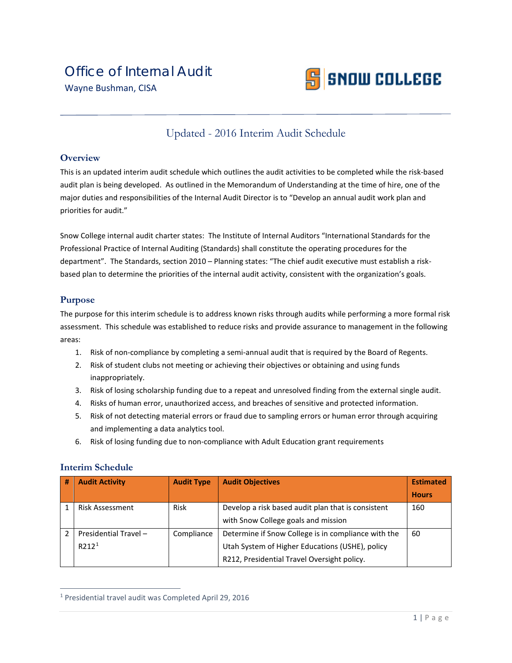

# Updated - 2016 Interim Audit Schedule

#### **Overview**

This is an updated interim audit schedule which outlines the audit activities to be completed while the risk-based audit plan is being developed. As outlined in the Memorandum of Understanding at the time of hire, one of the major duties and responsibilities of the Internal Audit Director is to "Develop an annual audit work plan and priorities for audit."

Snow College internal audit charter states: The Institute of Internal Auditors "International Standards for the Professional Practice of Internal Auditing (Standards) shall constitute the operating procedures for the department". The Standards, section 2010 – Planning states: "The chief audit executive must establish a riskbased plan to determine the priorities of the internal audit activity, consistent with the organization's goals.

## **Purpose**

The purpose for this interim schedule is to address known risks through audits while performing a more formal risk assessment. This schedule was established to reduce risks and provide assurance to management in the following areas:

- 1. Risk of non-compliance by completing a semi-annual audit that is required by the Board of Regents.
- 2. Risk of student clubs not meeting or achieving their objectives or obtaining and using funds inappropriately.
- 3. Risk of losing scholarship funding due to a repeat and unresolved finding from the external single audit.
- 4. Risks of human error, unauthorized access, and breaches of sensitive and protected information.
- 5. Risk of not detecting material errors or fraud due to sampling errors or human error through acquiring and implementing a data analytics tool.
- 6. Risk of losing funding due to non-compliance with Adult Education grant requirements

#### **Interim Schedule**

| # | <b>Audit Activity</b>  | <b>Audit Type</b> | <b>Audit Objectives</b>                             | <b>Estimated</b> |
|---|------------------------|-------------------|-----------------------------------------------------|------------------|
|   |                        |                   |                                                     | <b>Hours</b>     |
|   | <b>Risk Assessment</b> | <b>Risk</b>       | Develop a risk based audit plan that is consistent  | 160              |
|   |                        |                   | with Snow College goals and mission                 |                  |
|   | Presidential Travel -  | Compliance        | Determine if Snow College is in compliance with the | 60               |
|   | $R$ 212 <sup>1</sup>   |                   | Utah System of Higher Educations (USHE), policy     |                  |
|   |                        |                   | R212, Presidential Travel Oversight policy.         |                  |

<span id="page-0-0"></span> <sup>1</sup> Presidential travel audit was Completed April 29, 2016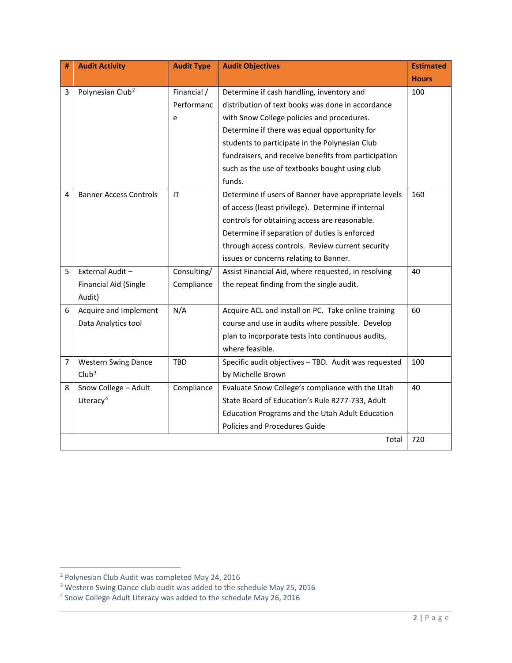| #              | <b>Audit Activity</b>         | <b>Audit Type</b> | <b>Audit Objectives</b>                              | <b>Estimated</b> |
|----------------|-------------------------------|-------------------|------------------------------------------------------|------------------|
|                |                               |                   |                                                      | <b>Hours</b>     |
| 3              | Polynesian Club <sup>2</sup>  | Financial /       | Determine if cash handling, inventory and            | 100              |
|                |                               | Performanc        | distribution of text books was done in accordance    |                  |
|                |                               | e                 | with Snow College policies and procedures.           |                  |
|                |                               |                   | Determine if there was equal opportunity for         |                  |
|                |                               |                   | students to participate in the Polynesian Club       |                  |
|                |                               |                   | fundraisers, and receive benefits from participation |                  |
|                |                               |                   | such as the use of textbooks bought using club       |                  |
|                |                               |                   | funds.                                               |                  |
| 4              | <b>Banner Access Controls</b> | IT                | Determine if users of Banner have appropriate levels | 160              |
|                |                               |                   | of access (least privilege). Determine if internal   |                  |
|                |                               |                   | controls for obtaining access are reasonable.        |                  |
|                |                               |                   | Determine if separation of duties is enforced        |                  |
|                |                               |                   | through access controls. Review current security     |                  |
|                |                               |                   | issues or concerns relating to Banner.               |                  |
| 5              | External Audit-               | Consulting/       | Assist Financial Aid, where requested, in resolving  | 40               |
|                | Financial Aid (Single         | Compliance        | the repeat finding from the single audit.            |                  |
|                | Audit)                        |                   |                                                      |                  |
| 6              | Acquire and Implement         | N/A               | Acquire ACL and install on PC. Take online training  | 60               |
|                | Data Analytics tool           |                   | course and use in audits where possible. Develop     |                  |
|                |                               |                   | plan to incorporate tests into continuous audits,    |                  |
|                |                               |                   | where feasible.                                      |                  |
| $\overline{7}$ | <b>Western Swing Dance</b>    | <b>TBD</b>        | Specific audit objectives - TBD. Audit was requested | 100              |
|                | Club <sup>3</sup>             |                   | by Michelle Brown                                    |                  |
| 8              | Snow College - Adult          | Compliance        | Evaluate Snow College's compliance with the Utah     | 40               |
|                | Literacy <sup>4</sup>         |                   | State Board of Education's Rule R277-733, Adult      |                  |
|                |                               |                   | Education Programs and the Utah Adult Education      |                  |
|                |                               |                   | Policies and Procedures Guide                        |                  |
|                |                               |                   | Total                                                | 720              |

<span id="page-1-0"></span> <sup>2</sup> Polynesian Club Audit was completed May 24, 2016

<span id="page-1-1"></span><sup>&</sup>lt;sup>3</sup> Western Swing Dance club audit was added to the schedule May 25, 2016

<span id="page-1-2"></span> $4$  Snow College Adult Literacy was added to the schedule May 26, 2016